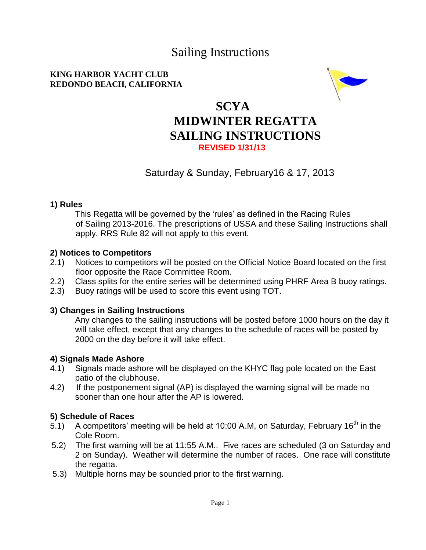# Sailing Instructions

### **KING HARBOR YACHT CLUB REDONDO BEACH, CALIFORNIA**



# **SCYA MIDWINTER REGATTA SAILING INSTRUCTIONS REVISED 1/31/13**

# Saturday & Sunday, February16 & 17, 2013

### **1) Rules**

This Regatta will be governed by the 'rules' as defined in the Racing Rules of Sailing 2013-2016. The prescriptions of USSA and these Sailing Instructions shall apply. RRS Rule 82 will not apply to this event.

### **2) Notices to Competitors**

- 2.1) Notices to competitors will be posted on the Official Notice Board located on the first floor opposite the Race Committee Room.
- 2.2) Class splits for the entire series will be determined using PHRF Area B buoy ratings.
- 2.3) Buoy ratings will be used to score this event using TOT.

## **3) Changes in Sailing Instructions**

Any changes to the sailing instructions will be posted before 1000 hours on the day it will take effect, except that any changes to the schedule of races will be posted by 2000 on the day before it will take effect.

## **4) Signals Made Ashore**

- 4.1) Signals made ashore will be displayed on the KHYC flag pole located on the East patio of the clubhouse.
- 4.2) If the postponement signal (AP) is displayed the warning signal will be made no sooner than one hour after the AP is lowered.

## **5) Schedule of Races**

- 5.1) A competitors' meeting will be held at 10:00 A.M, on Saturday, February 16<sup>th</sup> in the Cole Room.
- 5.2) The first warning will be at 11:55 A.M.. Five races are scheduled (3 on Saturday and 2 on Sunday). Weather will determine the number of races. One race will constitute the regatta.
- 5.3) Multiple horns may be sounded prior to the first warning.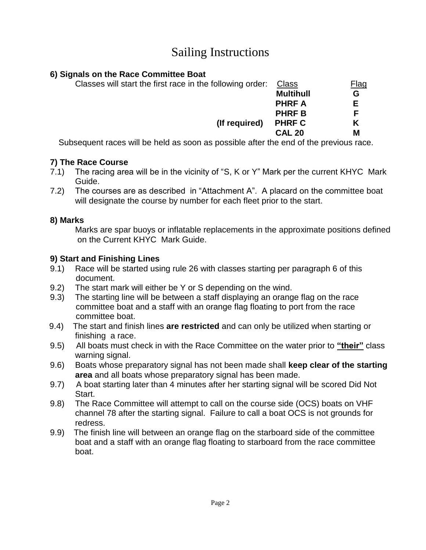# Sailing Instructions

# **6) Signals on the Race Committee Boat**

| Classes will start the first race in the following order: | Class            | <u>Flag</u> |
|-----------------------------------------------------------|------------------|-------------|
|                                                           | <b>Multihull</b> | G           |
|                                                           | <b>PHRFA</b>     | F.          |
|                                                           | <b>PHRFB</b>     |             |
| (If required)                                             | <b>PHRF C</b>    | Κ           |
|                                                           | <b>CAL 20</b>    | М           |
| .                                                         | .                |             |

Subsequent races will be held as soon as possible after the end of the previous race.

# **7) The Race Course**

- 7.1) The racing area will be in the vicinity of "S, K or Y" Mark per the current KHYC Mark Guide.
- 7.2) The courses are as described in "Attachment A". A placard on the committee boat will designate the course by number for each fleet prior to the start.

# **8) Marks**

Marks are spar buoys or inflatable replacements in the approximate positions defined on the Current KHYC Mark Guide.

# **9) Start and Finishing Lines**

- 9.1) Race will be started using rule 26 with classes starting per paragraph 6 of this document.
- 9.2) The start mark will either be Y or S depending on the wind.
- 9.3) The starting line will be between a staff displaying an orange flag on the race committee boat and a staff with an orange flag floating to port from the race committee boat.
- 9.4) The start and finish lines **are restricted** and can only be utilized when starting or finishing a race.
- 9.5) All boats must check in with the Race Committee on the water prior to **"their"** class warning signal.
- 9.6) Boats whose preparatory signal has not been made shall **keep clear of the starting area** and all boats whose preparatory signal has been made.
- 9.7) A boat starting later than 4 minutes after her starting signal will be scored Did Not Start.
- 9.8) The Race Committee will attempt to call on the course side (OCS) boats on VHF channel 78 after the starting signal. Failure to call a boat OCS is not grounds for redress.
- 9.9) The finish line will between an orange flag on the starboard side of the committee boat and a staff with an orange flag floating to starboard from the race committee boat.